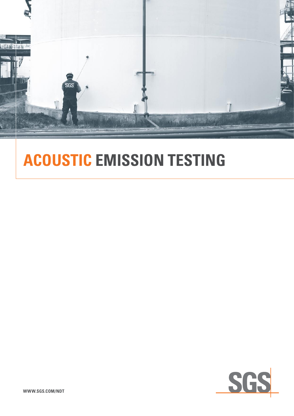

# **Acoustic Emission Testing**